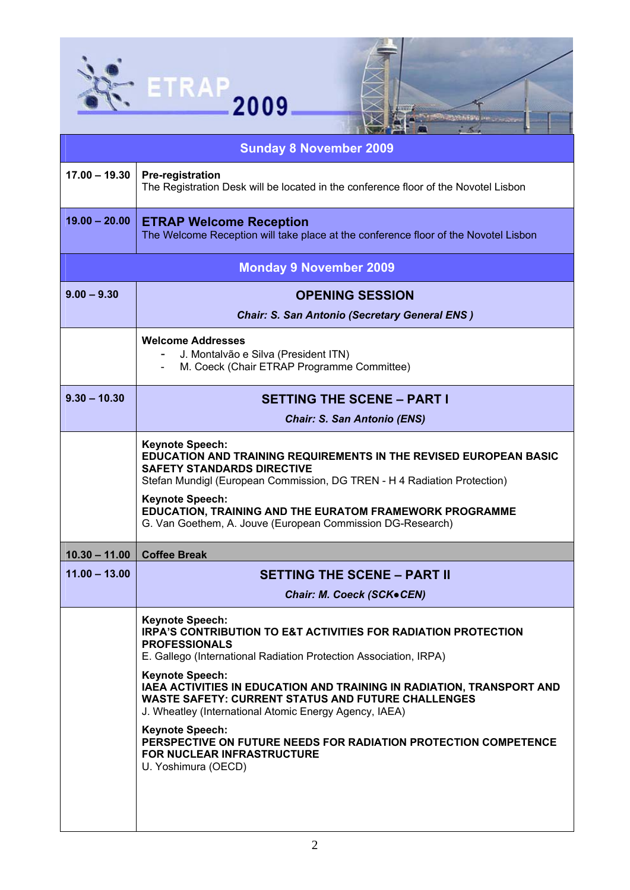

| <b>Sunday 8 November 2009</b> |                                                                                                                                                                                                                                                                                                                                                                                                                                                                                                                                                                              |  |  |
|-------------------------------|------------------------------------------------------------------------------------------------------------------------------------------------------------------------------------------------------------------------------------------------------------------------------------------------------------------------------------------------------------------------------------------------------------------------------------------------------------------------------------------------------------------------------------------------------------------------------|--|--|
| $17.00 - 19.30$               | <b>Pre-registration</b><br>The Registration Desk will be located in the conference floor of the Novotel Lisbon                                                                                                                                                                                                                                                                                                                                                                                                                                                               |  |  |
| $19.00 - 20.00$               | <b>ETRAP Welcome Reception</b><br>The Welcome Reception will take place at the conference floor of the Novotel Lisbon                                                                                                                                                                                                                                                                                                                                                                                                                                                        |  |  |
|                               | <b>Monday 9 November 2009</b>                                                                                                                                                                                                                                                                                                                                                                                                                                                                                                                                                |  |  |
| $9.00 - 9.30$                 | <b>OPENING SESSION</b>                                                                                                                                                                                                                                                                                                                                                                                                                                                                                                                                                       |  |  |
|                               | <b>Chair: S. San Antonio (Secretary General ENS)</b>                                                                                                                                                                                                                                                                                                                                                                                                                                                                                                                         |  |  |
|                               | <b>Welcome Addresses</b><br>J. Montalvão e Silva (President ITN)<br>M. Coeck (Chair ETRAP Programme Committee)                                                                                                                                                                                                                                                                                                                                                                                                                                                               |  |  |
| $9.30 - 10.30$                | <b>SETTING THE SCENE - PART I</b>                                                                                                                                                                                                                                                                                                                                                                                                                                                                                                                                            |  |  |
|                               | <b>Chair: S. San Antonio (ENS)</b>                                                                                                                                                                                                                                                                                                                                                                                                                                                                                                                                           |  |  |
|                               | <b>Keynote Speech:</b><br><b>EDUCATION AND TRAINING REQUIREMENTS IN THE REVISED EUROPEAN BASIC</b><br><b>SAFETY STANDARDS DIRECTIVE</b><br>Stefan Mundigl (European Commission, DG TREN - H 4 Radiation Protection)<br><b>Keynote Speech:</b><br>EDUCATION, TRAINING AND THE EURATOM FRAMEWORK PROGRAMME<br>G. Van Goethem, A. Jouve (European Commission DG-Research)                                                                                                                                                                                                       |  |  |
| $10.30 - 11.00$               | <b>Coffee Break</b>                                                                                                                                                                                                                                                                                                                                                                                                                                                                                                                                                          |  |  |
| $11.00 - 13.00$               | <b>SETTING THE SCENE - PART II</b>                                                                                                                                                                                                                                                                                                                                                                                                                                                                                                                                           |  |  |
|                               | Chair: M. Coeck (SCK.CEN)                                                                                                                                                                                                                                                                                                                                                                                                                                                                                                                                                    |  |  |
|                               | <b>Keynote Speech:</b><br><b>IRPA'S CONTRIBUTION TO E&amp;T ACTIVITIES FOR RADIATION PROTECTION</b><br><b>PROFESSIONALS</b><br>E. Gallego (International Radiation Protection Association, IRPA)<br><b>Keynote Speech:</b><br>IAEA ACTIVITIES IN EDUCATION AND TRAINING IN RADIATION, TRANSPORT AND<br><b>WASTE SAFETY: CURRENT STATUS AND FUTURE CHALLENGES</b><br>J. Wheatley (International Atomic Energy Agency, IAEA)<br><b>Keynote Speech:</b><br>PERSPECTIVE ON FUTURE NEEDS FOR RADIATION PROTECTION COMPETENCE<br>FOR NUCLEAR INFRASTRUCTURE<br>U. Yoshimura (OECD) |  |  |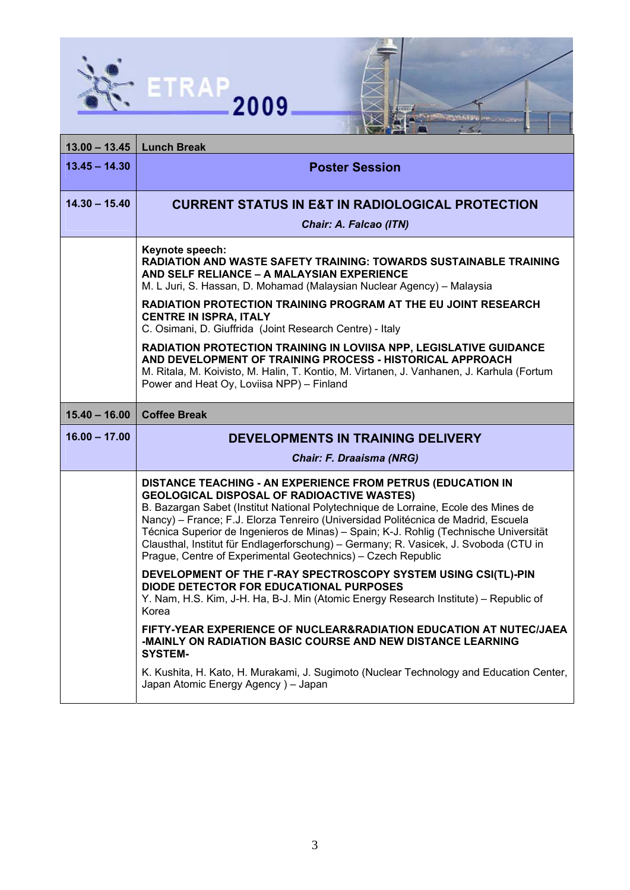



| $13.00 - 13.45$ | <b>Lunch Break</b>                                                                                                                                                                                                                                                                                                                                                                                                                                                                                                                           |
|-----------------|----------------------------------------------------------------------------------------------------------------------------------------------------------------------------------------------------------------------------------------------------------------------------------------------------------------------------------------------------------------------------------------------------------------------------------------------------------------------------------------------------------------------------------------------|
| $13.45 - 14.30$ | <b>Poster Session</b>                                                                                                                                                                                                                                                                                                                                                                                                                                                                                                                        |
| $14.30 - 15.40$ | <b>CURRENT STATUS IN E&amp;T IN RADIOLOGICAL PROTECTION</b><br>Chair: A. Falcao (ITN)                                                                                                                                                                                                                                                                                                                                                                                                                                                        |
|                 | Keynote speech:<br><b>RADIATION AND WASTE SAFETY TRAINING: TOWARDS SUSTAINABLE TRAINING</b><br>AND SELF RELIANCE - A MALAYSIAN EXPERIENCE<br>M. L Juri, S. Hassan, D. Mohamad (Malaysian Nuclear Agency) – Malaysia                                                                                                                                                                                                                                                                                                                          |
|                 | RADIATION PROTECTION TRAINING PROGRAM AT THE EU JOINT RESEARCH<br><b>CENTRE IN ISPRA, ITALY</b><br>C. Osimani, D. Giuffrida (Joint Research Centre) - Italy                                                                                                                                                                                                                                                                                                                                                                                  |
|                 | <b>RADIATION PROTECTION TRAINING IN LOVIISA NPP, LEGISLATIVE GUIDANCE</b><br>AND DEVELOPMENT OF TRAINING PROCESS - HISTORICAL APPROACH<br>M. Ritala, M. Koivisto, M. Halin, T. Kontio, M. Virtanen, J. Vanhanen, J. Karhula (Fortum<br>Power and Heat Oy, Loviisa NPP) - Finland                                                                                                                                                                                                                                                             |
| $15.40 - 16.00$ | <b>Coffee Break</b>                                                                                                                                                                                                                                                                                                                                                                                                                                                                                                                          |
|                 |                                                                                                                                                                                                                                                                                                                                                                                                                                                                                                                                              |
| $16.00 - 17.00$ | <b>DEVELOPMENTS IN TRAINING DELIVERY</b>                                                                                                                                                                                                                                                                                                                                                                                                                                                                                                     |
|                 | <b>Chair: F. Draaisma (NRG)</b>                                                                                                                                                                                                                                                                                                                                                                                                                                                                                                              |
|                 | DISTANCE TEACHING - AN EXPERIENCE FROM PETRUS (EDUCATION IN<br><b>GEOLOGICAL DISPOSAL OF RADIOACTIVE WASTES)</b><br>B. Bazargan Sabet (Institut National Polytechnique de Lorraine, Ecole des Mines de<br>Nancy) – France; F.J. Elorza Tenreiro (Universidad Politécnica de Madrid, Escuela<br>Técnica Superior de Ingenieros de Minas) - Spain; K-J. Rohlig (Technische Universität<br>Clausthal, Institut für Endlagerforschung) - Germany; R. Vasicek, J. Svoboda (CTU in<br>Prague, Centre of Experimental Geotechnics) - Czech Republic |
|                 | DEVELOPMENT OF THE F-RAY SPECTROSCOPY SYSTEM USING CSI(TL)-PIN<br>DIODE DETECTOR FOR EDUCATIONAL PURPOSES<br>Y. Nam, H.S. Kim, J-H. Ha, B-J. Min (Atomic Energy Research Institute) - Republic of<br>Korea                                                                                                                                                                                                                                                                                                                                   |
|                 | FIFTY-YEAR EXPERIENCE OF NUCLEAR&RADIATION EDUCATION AT NUTEC/JAEA<br>-MAINLY ON RADIATION BASIC COURSE AND NEW DISTANCE LEARNING<br><b>SYSTEM-</b>                                                                                                                                                                                                                                                                                                                                                                                          |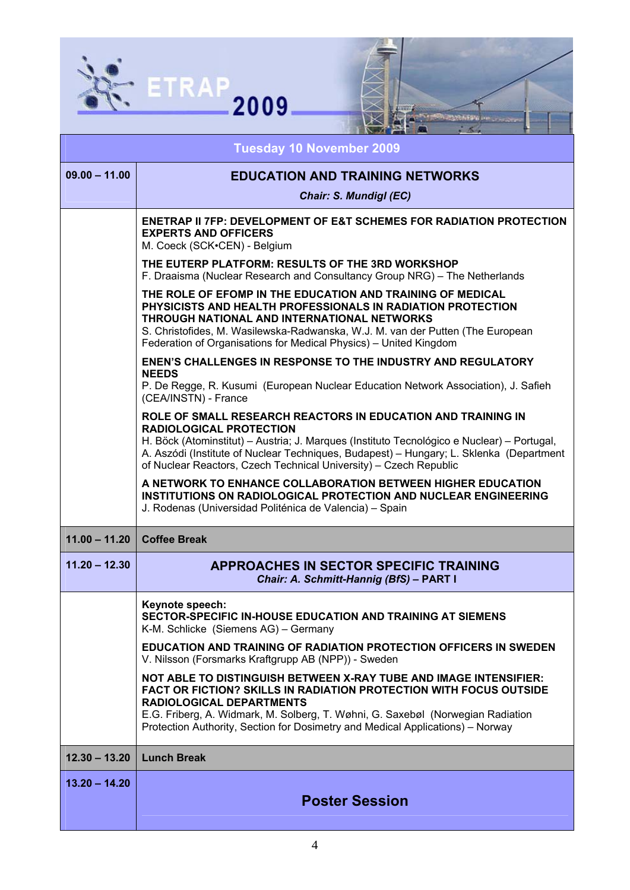



| <b>Tuesday 10 November 2009</b> |                                                                                                                                                                                                                                                                                                                                                              |
|---------------------------------|--------------------------------------------------------------------------------------------------------------------------------------------------------------------------------------------------------------------------------------------------------------------------------------------------------------------------------------------------------------|
| $09.00 - 11.00$                 | <b>EDUCATION AND TRAINING NETWORKS</b>                                                                                                                                                                                                                                                                                                                       |
|                                 | Chair: S. Mundigl (EC)                                                                                                                                                                                                                                                                                                                                       |
|                                 | <b>ENETRAP II 7FP: DEVELOPMENT OF E&amp;T SCHEMES FOR RADIATION PROTECTION</b><br><b>EXPERTS AND OFFICERS</b><br>M. Coeck (SCK.CEN) - Belgium                                                                                                                                                                                                                |
|                                 | THE EUTERP PLATFORM: RESULTS OF THE 3RD WORKSHOP<br>F. Draaisma (Nuclear Research and Consultancy Group NRG) – The Netherlands                                                                                                                                                                                                                               |
|                                 | THE ROLE OF EFOMP IN THE EDUCATION AND TRAINING OF MEDICAL<br>PHYSICISTS AND HEALTH PROFESSIONALS IN RADIATION PROTECTION<br>THROUGH NATIONAL AND INTERNATIONAL NETWORKS<br>S. Christofides, M. Wasilewska-Radwanska, W.J. M. van der Putten (The European<br>Federation of Organisations for Medical Physics) - United Kingdom                              |
|                                 | <b>ENEN'S CHALLENGES IN RESPONSE TO THE INDUSTRY AND REGULATORY</b><br><b>NEEDS</b><br>P. De Regge, R. Kusumi (European Nuclear Education Network Association), J. Safieh<br>(CEA/INSTN) - France                                                                                                                                                            |
|                                 | ROLE OF SMALL RESEARCH REACTORS IN EDUCATION AND TRAINING IN<br><b>RADIOLOGICAL PROTECTION</b><br>H. Böck (Atominstitut) - Austria; J. Marques (Instituto Tecnológico e Nuclear) - Portugal,<br>A. Aszódi (Institute of Nuclear Techniques, Budapest) - Hungary; L. Sklenka (Department<br>of Nuclear Reactors, Czech Technical University) - Czech Republic |
|                                 | A NETWORK TO ENHANCE COLLABORATION BETWEEN HIGHER EDUCATION<br><b>INSTITUTIONS ON RADIOLOGICAL PROTECTION AND NUCLEAR ENGINEERING</b><br>J. Rodenas (Universidad Politénica de Valencia) - Spain                                                                                                                                                             |
| $11.00 - 11.20$                 | <b>Coffee Break</b>                                                                                                                                                                                                                                                                                                                                          |
| $11.20 - 12.30$                 | <b>APPROACHES IN SECTOR SPECIFIC TRAINING</b><br>Chair: A. Schmitt-Hannig (BfS) - PART I                                                                                                                                                                                                                                                                     |
|                                 | Keynote speech:<br>SECTOR-SPECIFIC IN-HOUSE EDUCATION AND TRAINING AT SIEMENS<br>K-M. Schlicke (Siemens AG) - Germany                                                                                                                                                                                                                                        |
|                                 | <b>EDUCATION AND TRAINING OF RADIATION PROTECTION OFFICERS IN SWEDEN</b><br>V. Nilsson (Forsmarks Kraftgrupp AB (NPP)) - Sweden                                                                                                                                                                                                                              |
|                                 | NOT ABLE TO DISTINGUISH BETWEEN X-RAY TUBE AND IMAGE INTENSIFIER:<br>FACT OR FICTION? SKILLS IN RADIATION PROTECTION WITH FOCUS OUTSIDE<br><b>RADIOLOGICAL DEPARTMENTS</b><br>E.G. Friberg, A. Widmark, M. Solberg, T. Wøhni, G. Saxebøl (Norwegian Radiation                                                                                                |
|                                 | Protection Authority, Section for Dosimetry and Medical Applications) – Norway                                                                                                                                                                                                                                                                               |
| $12.30 - 13.20$                 | <b>Lunch Break</b>                                                                                                                                                                                                                                                                                                                                           |
| $13.20 - 14.20$                 | <b>Poster Session</b>                                                                                                                                                                                                                                                                                                                                        |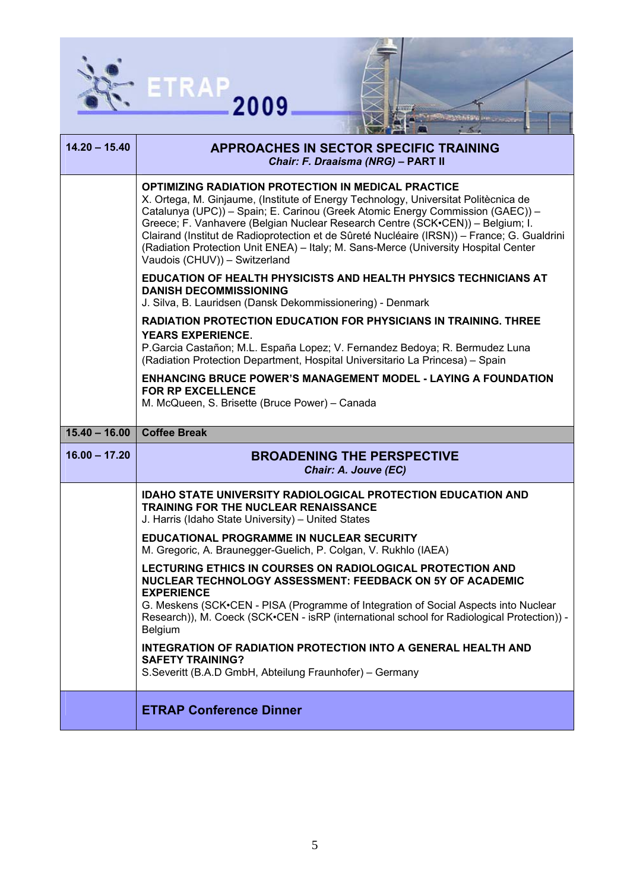



| $14.20 - 15.40$ | <b>APPROACHES IN SECTOR SPECIFIC TRAINING</b><br>Chair: F. Draaisma (NRG) - PART II                                                                                                                                                                                                                                                                                                                                                                                                                                                          |
|-----------------|----------------------------------------------------------------------------------------------------------------------------------------------------------------------------------------------------------------------------------------------------------------------------------------------------------------------------------------------------------------------------------------------------------------------------------------------------------------------------------------------------------------------------------------------|
|                 | <b>OPTIMIZING RADIATION PROTECTION IN MEDICAL PRACTICE</b><br>X. Ortega, M. Ginjaume, (Institute of Energy Technology, Universitat Politècnica de<br>Catalunya (UPC)) - Spain; E. Carinou (Greek Atomic Energy Commission (GAEC)) -<br>Greece; F. Vanhavere (Belgian Nuclear Research Centre (SCK.CEN)) - Belgium; I.<br>Clairand (Institut de Radioprotection et de Sûreté Nucléaire (IRSN)) - France; G. Gualdrini<br>(Radiation Protection Unit ENEA) - Italy; M. Sans-Merce (University Hospital Center<br>Vaudois (CHUV)) - Switzerland |
|                 | <b>EDUCATION OF HEALTH PHYSICISTS AND HEALTH PHYSICS TECHNICIANS AT</b><br><b>DANISH DECOMMISSIONING</b><br>J. Silva, B. Lauridsen (Dansk Dekommissionering) - Denmark                                                                                                                                                                                                                                                                                                                                                                       |
|                 | <b>RADIATION PROTECTION EDUCATION FOR PHYSICIANS IN TRAINING. THREE</b><br><b>YEARS EXPERIENCE.</b><br>P. Garcia Castañon; M.L. España Lopez; V. Fernandez Bedoya; R. Bermudez Luna<br>(Radiation Protection Department, Hospital Universitario La Princesa) - Spain                                                                                                                                                                                                                                                                         |
|                 | <b>ENHANCING BRUCE POWER'S MANAGEMENT MODEL - LAYING A FOUNDATION</b><br><b>FOR RP EXCELLENCE</b><br>M. McQueen, S. Brisette (Bruce Power) - Canada                                                                                                                                                                                                                                                                                                                                                                                          |
| $15.40 - 16.00$ | <b>Coffee Break</b>                                                                                                                                                                                                                                                                                                                                                                                                                                                                                                                          |
| $16.00 - 17.20$ | <b>BROADENING THE PERSPECTIVE</b><br>Chair: A. Jouve (EC)                                                                                                                                                                                                                                                                                                                                                                                                                                                                                    |
|                 | <b>IDAHO STATE UNIVERSITY RADIOLOGICAL PROTECTION EDUCATION AND</b><br><b>TRAINING FOR THE NUCLEAR RENAISSANCE</b><br>J. Harris (Idaho State University) - United States                                                                                                                                                                                                                                                                                                                                                                     |
|                 | <b>EDUCATIONAL PROGRAMME IN NUCLEAR SECURITY</b>                                                                                                                                                                                                                                                                                                                                                                                                                                                                                             |
|                 | M. Gregoric, A. Braunegger-Guelich, P. Colgan, V. Rukhlo (IAEA)                                                                                                                                                                                                                                                                                                                                                                                                                                                                              |
|                 | LECTURING ETHICS IN COURSES ON RADIOLOGICAL PROTECTION AND<br>NUCLEAR TECHNOLOGY ASSESSMENT: FEEDBACK ON 5Y OF ACADEMIC<br><b>EXPERIENCE</b><br>G. Meskens (SCK•CEN - PISA (Programme of Integration of Social Aspects into Nuclear                                                                                                                                                                                                                                                                                                          |
|                 | Research)), M. Coeck (SCK•CEN - isRP (international school for Radiological Protection)) -<br>Belgium<br><b>INTEGRATION OF RADIATION PROTECTION INTO A GENERAL HEALTH AND</b>                                                                                                                                                                                                                                                                                                                                                                |
|                 | <b>SAFETY TRAINING?</b><br>S.Severitt (B.A.D GmbH, Abteilung Fraunhofer) - Germany                                                                                                                                                                                                                                                                                                                                                                                                                                                           |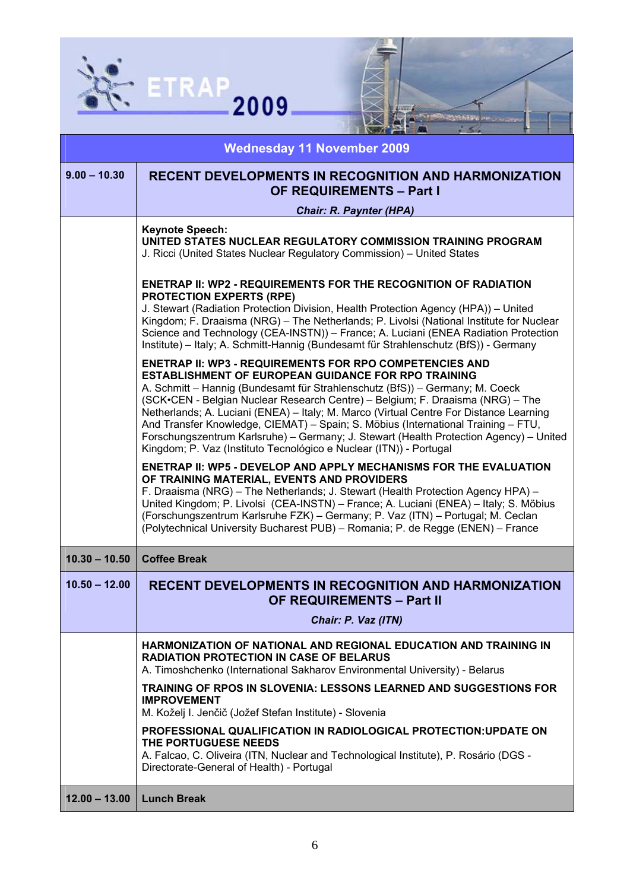

| $-64$                             |                                                                                                                                                                                                                                                                                                                                                                                                                                                                                                                                                                                                                                               |
|-----------------------------------|-----------------------------------------------------------------------------------------------------------------------------------------------------------------------------------------------------------------------------------------------------------------------------------------------------------------------------------------------------------------------------------------------------------------------------------------------------------------------------------------------------------------------------------------------------------------------------------------------------------------------------------------------|
| <b>Wednesday 11 November 2009</b> |                                                                                                                                                                                                                                                                                                                                                                                                                                                                                                                                                                                                                                               |
| $9.00 - 10.30$                    | <b>RECENT DEVELOPMENTS IN RECOGNITION AND HARMONIZATION</b><br><b>OF REQUIREMENTS - Part I</b>                                                                                                                                                                                                                                                                                                                                                                                                                                                                                                                                                |
|                                   | <b>Chair: R. Paynter (HPA)</b>                                                                                                                                                                                                                                                                                                                                                                                                                                                                                                                                                                                                                |
|                                   | <b>Keynote Speech:</b><br>UNITED STATES NUCLEAR REGULATORY COMMISSION TRAINING PROGRAM<br>J. Ricci (United States Nuclear Regulatory Commission) - United States                                                                                                                                                                                                                                                                                                                                                                                                                                                                              |
|                                   | <b>ENETRAP II: WP2 - REQUIREMENTS FOR THE RECOGNITION OF RADIATION</b><br><b>PROTECTION EXPERTS (RPE)</b><br>J. Stewart (Radiation Protection Division, Health Protection Agency (HPA)) - United<br>Kingdom; F. Draaisma (NRG) - The Netherlands; P. Livolsi (National Institute for Nuclear<br>Science and Technology (CEA-INSTN)) - France; A. Luciani (ENEA Radiation Protection<br>Institute) – Italy; A. Schmitt-Hannig (Bundesamt für Strahlenschutz (BfS)) - Germany                                                                                                                                                                   |
|                                   | <b>ENETRAP II: WP3 - REQUIREMENTS FOR RPO COMPETENCIES AND</b><br><b>ESTABLISHMENT OF EUROPEAN GUIDANCE FOR RPO TRAINING</b><br>A. Schmitt - Hannig (Bundesamt für Strahlenschutz (BfS)) - Germany; M. Coeck<br>(SCK•CEN - Belgian Nuclear Research Centre) - Belgium; F. Draaisma (NRG) - The<br>Netherlands; A. Luciani (ENEA) - Italy; M. Marco (Virtual Centre For Distance Learning<br>And Transfer Knowledge, CIEMAT) - Spain; S. Möbius (International Training - FTU,<br>Forschungszentrum Karlsruhe) – Germany; J. Stewart (Health Protection Agency) – United<br>Kingdom; P. Vaz (Instituto Tecnológico e Nuclear (ITN)) - Portugal |
|                                   | <b>ENETRAP II: WP5 - DEVELOP AND APPLY MECHANISMS FOR THE EVALUATION</b><br>OF TRAINING MATERIAL, EVENTS AND PROVIDERS<br>F. Draaisma (NRG) – The Netherlands; J. Stewart (Health Protection Agency HPA) –<br>United Kingdom; P. Livolsi (CEA-INSTN) - France; A. Luciani (ENEA) - Italy; S. Möbius<br>(Forschungszentrum Karlsruhe FZK) - Germany; P. Vaz (ITN) - Portugal; M. Ceclan<br>(Polytechnical University Bucharest PUB) - Romania; P. de Regge (ENEN) - France                                                                                                                                                                     |
| $10.30 - 10.50$                   | <b>Coffee Break</b>                                                                                                                                                                                                                                                                                                                                                                                                                                                                                                                                                                                                                           |
| $10.50 - 12.00$                   | <b>RECENT DEVELOPMENTS IN RECOGNITION AND HARMONIZATION</b><br><b>OF REQUIREMENTS - Part II</b>                                                                                                                                                                                                                                                                                                                                                                                                                                                                                                                                               |
|                                   | Chair: P. Vaz (ITN)                                                                                                                                                                                                                                                                                                                                                                                                                                                                                                                                                                                                                           |
|                                   | HARMONIZATION OF NATIONAL AND REGIONAL EDUCATION AND TRAINING IN<br><b>RADIATION PROTECTION IN CASE OF BELARUS</b><br>A. Timoshchenko (International Sakharov Environmental University) - Belarus                                                                                                                                                                                                                                                                                                                                                                                                                                             |
|                                   | TRAINING OF RPOS IN SLOVENIA: LESSONS LEARNED AND SUGGESTIONS FOR<br><b>IMPROVEMENT</b><br>M. Koželj I. Jenčič (Jožef Stefan Institute) - Slovenia                                                                                                                                                                                                                                                                                                                                                                                                                                                                                            |
|                                   | PROFESSIONAL QUALIFICATION IN RADIOLOGICAL PROTECTION: UPDATE ON<br>THE PORTUGUESE NEEDS<br>A. Falcao, C. Oliveira (ITN, Nuclear and Technological Institute), P. Rosário (DGS -<br>Directorate-General of Health) - Portugal                                                                                                                                                                                                                                                                                                                                                                                                                 |
| $12.00 - 13.00$                   | <b>Lunch Break</b>                                                                                                                                                                                                                                                                                                                                                                                                                                                                                                                                                                                                                            |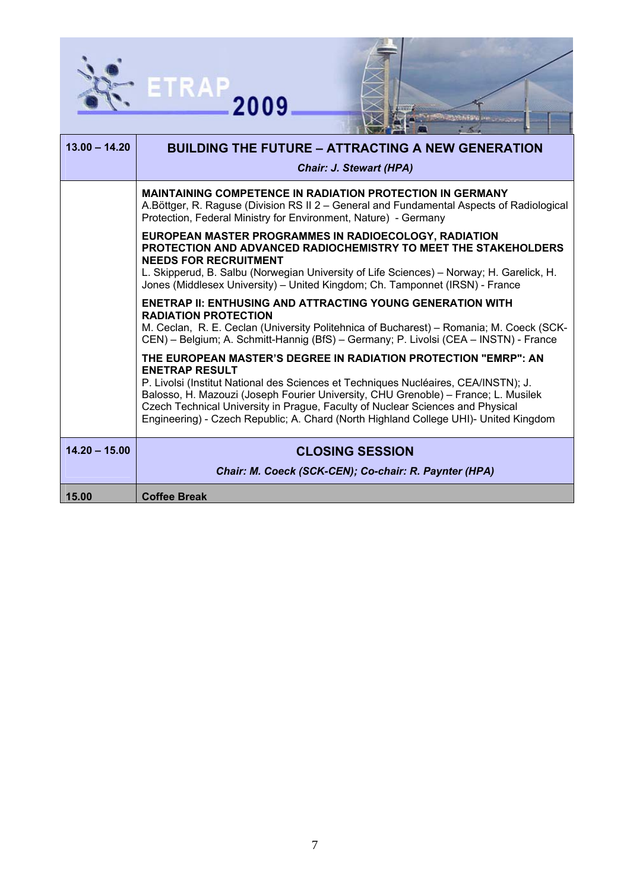



| $13.00 - 14.20$ | <b>BUILDING THE FUTURE - ATTRACTING A NEW GENERATION</b><br><b>Chair: J. Stewart (HPA)</b>                                                                                                                                                                                                                                                                                                                                                      |
|-----------------|-------------------------------------------------------------------------------------------------------------------------------------------------------------------------------------------------------------------------------------------------------------------------------------------------------------------------------------------------------------------------------------------------------------------------------------------------|
|                 | <b>MAINTAINING COMPETENCE IN RADIATION PROTECTION IN GERMANY</b><br>A.Böttger, R. Raguse (Division RS II 2 - General and Fundamental Aspects of Radiological<br>Protection, Federal Ministry for Environment, Nature) - Germany                                                                                                                                                                                                                 |
|                 | EUROPEAN MASTER PROGRAMMES IN RADIOECOLOGY, RADIATION<br><b>PROTECTION AND ADVANCED RADIOCHEMISTRY TO MEET THE STAKEHOLDERS</b><br><b>NEEDS FOR RECRUITMENT</b><br>L. Skipperud, B. Salbu (Norwegian University of Life Sciences) - Norway; H. Garelick, H.<br>Jones (Middlesex University) - United Kingdom; Ch. Tamponnet (IRSN) - France                                                                                                     |
|                 | <b>ENETRAP II: ENTHUSING AND ATTRACTING YOUNG GENERATION WITH</b><br><b>RADIATION PROTECTION</b><br>M. Ceclan, R. E. Ceclan (University Politehnica of Bucharest) – Romania; M. Coeck (SCK-<br>CEN) – Belgium; A. Schmitt-Hannig (BfS) – Germany; P. Livolsi (CEA – INSTN) - France                                                                                                                                                             |
|                 | THE EUROPEAN MASTER'S DEGREE IN RADIATION PROTECTION "EMRP": AN<br><b>ENETRAP RESULT</b><br>P. Livolsi (Institut National des Sciences et Techniques Nucléaires, CEA/INSTN); J.<br>Balosso, H. Mazouzi (Joseph Fourier University, CHU Grenoble) - France; L. Musilek<br>Czech Technical University in Prague, Faculty of Nuclear Sciences and Physical<br>Engineering) - Czech Republic; A. Chard (North Highland College UHI)- United Kingdom |
| $14.20 - 15.00$ | <b>CLOSING SESSION</b><br>Chair: M. Coeck (SCK-CEN); Co-chair: R. Paynter (HPA)                                                                                                                                                                                                                                                                                                                                                                 |
| 15.00           | <b>Coffee Break</b>                                                                                                                                                                                                                                                                                                                                                                                                                             |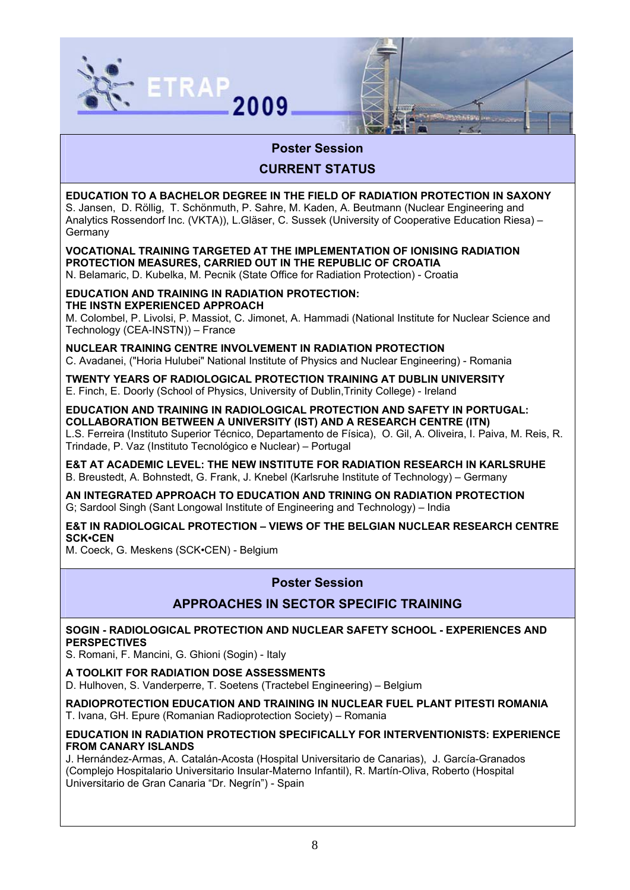



# **Poster Session**

# **CURRENT STATUS**

**EDUCATION TO A BACHELOR DEGREE IN THE FIELD OF RADIATION PROTECTION IN SAXONY**  S. Jansen, D. Röllig, T. Schönmuth, P. Sahre, M. Kaden, A. Beutmann (Nuclear Engineering and Analytics Rossendorf Inc. (VKTA)), L.Gläser, C. Sussek (University of Cooperative Education Riesa) – Germany

**VOCATIONAL TRAINING TARGETED AT THE IMPLEMENTATION OF IONISING RADIATION PROTECTION MEASURES, CARRIED OUT IN THE REPUBLIC OF CROATIA** 

N. Belamaric, D. Kubelka, M. Pecnik (State Office for Radiation Protection) - Croatia

#### **EDUCATION AND TRAINING IN RADIATION PROTECTION: THE INSTN EXPERIENCED APPROACH**

M. Colombel, P. Livolsi, P. Massiot, C. Jimonet, A. Hammadi (National Institute for Nuclear Science and Technology (CEA-INSTN)) – France

**NUCLEAR TRAINING CENTRE INVOLVEMENT IN RADIATION PROTECTION**  C. Avadanei, ("Horia Hulubei" National Institute of Physics and Nuclear Engineering) - Romania

**TWENTY YEARS OF RADIOLOGICAL PROTECTION TRAINING AT DUBLIN UNIVERSITY**  E. Finch, E. Doorly (School of Physics, University of Dublin,Trinity College) - Ireland

**EDUCATION AND TRAINING IN RADIOLOGICAL PROTECTION AND SAFETY IN PORTUGAL: COLLABORATION BETWEEN A UNIVERSITY (IST) AND A RESEARCH CENTRE (ITN)**  L.S. Ferreira (Instituto Superior Técnico, Departamento de Física), O. Gil, A. Oliveira, I. Paiva, M. Reis, R.

Trindade, P. Vaz (Instituto Tecnológico e Nuclear) – Portugal

**E&T AT ACADEMIC LEVEL: THE NEW INSTITUTE FOR RADIATION RESEARCH IN KARLSRUHE**  B. Breustedt, A. Bohnstedt, G. Frank, J. Knebel (Karlsruhe Institute of Technology) – Germany

**AN INTEGRATED APPROACH TO EDUCATION AND TRINING ON RADIATION PROTECTION**  G; Sardool Singh (Sant Longowal Institute of Engineering and Technology) – India

**E&T IN RADIOLOGICAL PROTECTION – VIEWS OF THE BELGIAN NUCLEAR RESEARCH CENTRE SCK•CEN** 

M. Coeck, G. Meskens (SCK•CEN) - Belgium

# **Poster Session**

# **APPROACHES IN SECTOR SPECIFIC TRAINING**

## **SOGIN - RADIOLOGICAL PROTECTION AND NUCLEAR SAFETY SCHOOL - EXPERIENCES AND PERSPECTIVES**

S. Romani, F. Mancini, G. Ghioni (Sogin) - Italy

**A TOOLKIT FOR RADIATION DOSE ASSESSMENTS** 

D. Hulhoven, S. Vanderperre, T. Soetens (Tractebel Engineering) – Belgium

**RADIOPROTECTION EDUCATION AND TRAINING IN NUCLEAR FUEL PLANT PITESTI ROMANIA**  T. Ivana, GH. Epure (Romanian Radioprotection Society) – Romania

## **EDUCATION IN RADIATION PROTECTION SPECIFICALLY FOR INTERVENTIONISTS: EXPERIENCE FROM CANARY ISLANDS**

J. Hernández-Armas, A. Catalán-Acosta (Hospital Universitario de Canarias), J. García-Granados (Complejo Hospitalario Universitario Insular-Materno Infantil), R. Martín-Oliva, Roberto (Hospital Universitario de Gran Canaria "Dr. Negrín") - Spain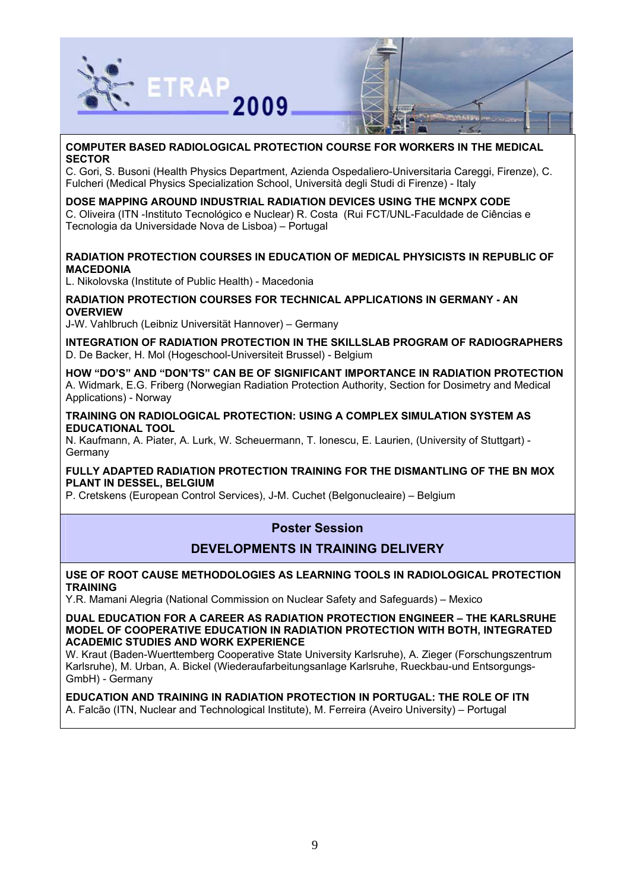



C. Gori, S. Busoni (Health Physics Department, Azienda Ospedaliero-Universitaria Careggi, Firenze), C. Fulcheri (Medical Physics Specialization School, Università degli Studi di Firenze) - Italy

#### **DOSE MAPPING AROUND INDUSTRIAL RADIATION DEVICES USING THE MCNPX CODE**

C. Oliveira (ITN -Instituto Tecnológico e Nuclear) R. Costa (Rui FCT/UNL-Faculdade de Ciências e Tecnologia da Universidade Nova de Lisboa) – Portugal

### **RADIATION PROTECTION COURSES IN EDUCATION OF MEDICAL PHYSICISTS IN REPUBLIC OF MACEDONIA**

L. Nikolovska (Institute of Public Health) - Macedonia

### **RADIATION PROTECTION COURSES FOR TECHNICAL APPLICATIONS IN GERMANY - AN OVERVIEW**

J-W. Vahlbruch (Leibniz Universität Hannover) – Germany

**INTEGRATION OF RADIATION PROTECTION IN THE SKILLSLAB PROGRAM OF RADIOGRAPHERS**  D. De Backer, H. Mol (Hogeschool-Universiteit Brussel) - Belgium

**HOW "DO'S" AND "DON'TS" CAN BE OF SIGNIFICANT IMPORTANCE IN RADIATION PROTECTION**  A. Widmark, E.G. Friberg (Norwegian Radiation Protection Authority, Section for Dosimetry and Medical Applications) - Norway

#### **TRAINING ON RADIOLOGICAL PROTECTION: USING A COMPLEX SIMULATION SYSTEM AS EDUCATIONAL TOOL**

N. Kaufmann, A. Piater, A. Lurk, W. Scheuermann, T. Ionescu, E. Laurien, (University of Stuttgart) - Germany

**FULLY ADAPTED RADIATION PROTECTION TRAINING FOR THE DISMANTLING OF THE BN MOX PLANT IN DESSEL, BELGIUM** 

P. Cretskens (European Control Services), J-M. Cuchet (Belgonucleaire) – Belgium

# **Poster Session**

## **DEVELOPMENTS IN TRAINING DELIVERY**

#### **USE OF ROOT CAUSE METHODOLOGIES AS LEARNING TOOLS IN RADIOLOGICAL PROTECTION TRAINING**

Y.R. Mamani Alegria (National Commission on Nuclear Safety and Safeguards) – Mexico

**DUAL EDUCATION FOR A CAREER AS RADIATION PROTECTION ENGINEER – THE KARLSRUHE MODEL OF COOPERATIVE EDUCATION IN RADIATION PROTECTION WITH BOTH, INTEGRATED ACADEMIC STUDIES AND WORK EXPERIENCE** 

W. Kraut (Baden-Wuerttemberg Cooperative State University Karlsruhe), A. Zieger (Forschungszentrum Karlsruhe), M. Urban, A. Bickel (Wiederaufarbeitungsanlage Karlsruhe, Rueckbau-und Entsorgungs-GmbH) - Germany

## **EDUCATION AND TRAINING IN RADIATION PROTECTION IN PORTUGAL: THE ROLE OF ITN**

A. Falcão (ITN, Nuclear and Technological Institute), M. Ferreira (Aveiro University) – Portugal